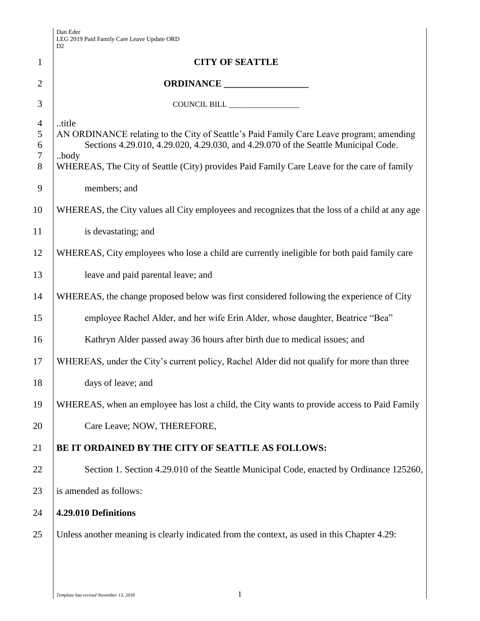|                                    | D <sub>2</sub>                                                                                                                                                                                                                                                                               |
|------------------------------------|----------------------------------------------------------------------------------------------------------------------------------------------------------------------------------------------------------------------------------------------------------------------------------------------|
| 1                                  | <b>CITY OF SEATTLE</b>                                                                                                                                                                                                                                                                       |
| $\overline{2}$                     |                                                                                                                                                                                                                                                                                              |
| 3                                  | COUNCIL BILL                                                                                                                                                                                                                                                                                 |
| $\overline{4}$<br>5<br>6<br>7<br>8 | title<br>AN ORDINANCE relating to the City of Seattle's Paid Family Care Leave program; amending<br>Sections 4.29.010, 4.29.020, 4.29.030, and 4.29.070 of the Seattle Municipal Code.<br>body<br>WHEREAS, The City of Seattle (City) provides Paid Family Care Leave for the care of family |
| 9                                  | members; and                                                                                                                                                                                                                                                                                 |
| 10                                 | WHEREAS, the City values all City employees and recognizes that the loss of a child at any age                                                                                                                                                                                               |
| 11                                 | is devastating; and                                                                                                                                                                                                                                                                          |
| 12                                 | WHEREAS, City employees who lose a child are currently ineligible for both paid family care                                                                                                                                                                                                  |
| 13                                 | leave and paid parental leave; and                                                                                                                                                                                                                                                           |
| 14                                 | WHEREAS, the change proposed below was first considered following the experience of City                                                                                                                                                                                                     |
| 15                                 | employee Rachel Alder, and her wife Erin Alder, whose daughter, Beatrice "Bea"                                                                                                                                                                                                               |
| 16                                 | Kathryn Alder passed away 36 hours after birth due to medical issues; and                                                                                                                                                                                                                    |
| 17                                 | WHEREAS, under the City's current policy, Rachel Alder did not qualify for more than three                                                                                                                                                                                                   |
| 18                                 | days of leave; and                                                                                                                                                                                                                                                                           |
| 19                                 | WHEREAS, when an employee has lost a child, the City wants to provide access to Paid Family                                                                                                                                                                                                  |
| 20                                 | Care Leave; NOW, THEREFORE,                                                                                                                                                                                                                                                                  |
| 21                                 | BE IT ORDAINED BY THE CITY OF SEATTLE AS FOLLOWS:                                                                                                                                                                                                                                            |
| 22                                 | Section 1. Section 4.29.010 of the Seattle Municipal Code, enacted by Ordinance 125260,                                                                                                                                                                                                      |
| 23                                 | is amended as follows:                                                                                                                                                                                                                                                                       |
| 24                                 | 4.29.010 Definitions                                                                                                                                                                                                                                                                         |
| 25                                 | Unless another meaning is clearly indicated from the context, as used in this Chapter 4.29:                                                                                                                                                                                                  |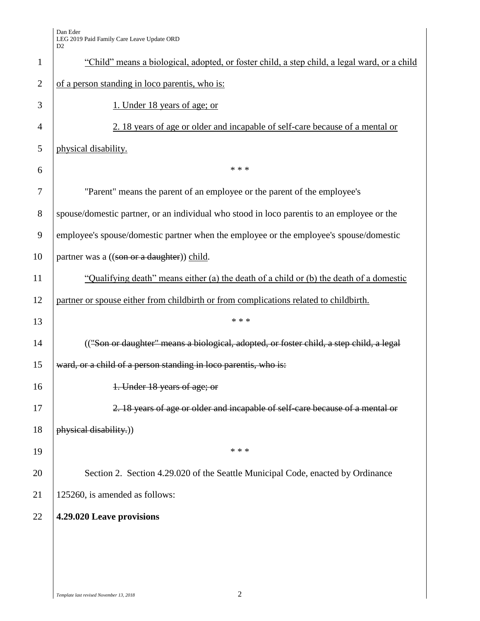|                | ້                                                                                            |  |  |  |  |
|----------------|----------------------------------------------------------------------------------------------|--|--|--|--|
| $\mathbf{1}$   | "Child" means a biological, adopted, or foster child, a step child, a legal ward, or a child |  |  |  |  |
| $\overline{2}$ | of a person standing in loco parentis, who is:                                               |  |  |  |  |
| 3              | 1. Under 18 years of age; or                                                                 |  |  |  |  |
| $\overline{4}$ | 2. 18 years of age or older and incapable of self-care because of a mental or                |  |  |  |  |
| 5              | physical disability.                                                                         |  |  |  |  |
| 6              | * * *                                                                                        |  |  |  |  |
| 7              | "Parent" means the parent of an employee or the parent of the employee's                     |  |  |  |  |
| $8\,$          | spouse/domestic partner, or an individual who stood in loco parentis to an employee or the   |  |  |  |  |
| 9              | employee's spouse/domestic partner when the employee or the employee's spouse/domestic       |  |  |  |  |
| 10             | partner was a ((son or a daughter)) child.                                                   |  |  |  |  |
| 11             | "Qualifying death" means either (a) the death of a child or (b) the death of a domestic      |  |  |  |  |
| 12             | partner or spouse either from childbirth or from complications related to childbirth.        |  |  |  |  |
| 13             | * * *                                                                                        |  |  |  |  |
| 14             | (("Son or daughter" means a biological, adopted, or foster child, a step child, a legal      |  |  |  |  |
| 15             | ward, or a child of a person standing in loco parentis, who is:                              |  |  |  |  |
| 16             | 1. Under 18 years of age; or                                                                 |  |  |  |  |
| 17             | 2. 18 years of age or older and incapable of self-care because of a mental or                |  |  |  |  |
| 18             | physical disability.))                                                                       |  |  |  |  |
| 19             | * * *                                                                                        |  |  |  |  |
| 20             | Section 2. Section 4.29.020 of the Seattle Municipal Code, enacted by Ordinance              |  |  |  |  |
| 21             | 125260, is amended as follows:                                                               |  |  |  |  |
| 22             | 4.29.020 Leave provisions                                                                    |  |  |  |  |
|                |                                                                                              |  |  |  |  |
|                |                                                                                              |  |  |  |  |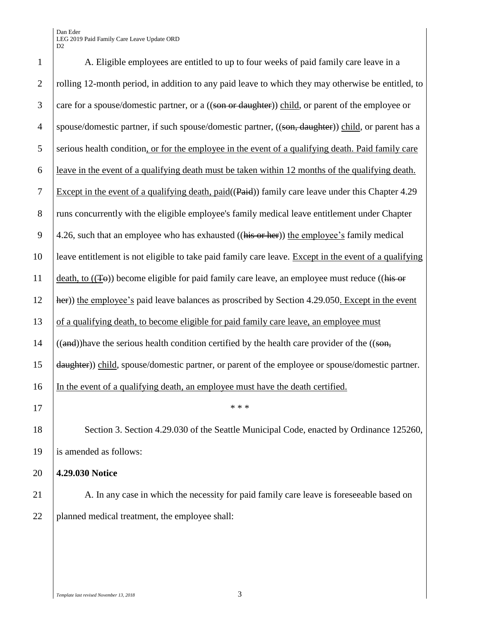## Dan Eder LEG 2019 Paid Family Care Leave Update ORD D2

| $\mathbf{1}$   | A. Eligible employees are entitled to up to four weeks of paid family care leave in a                                                     |  |  |  |
|----------------|-------------------------------------------------------------------------------------------------------------------------------------------|--|--|--|
| $\overline{2}$ | rolling 12-month period, in addition to any paid leave to which they may otherwise be entitled, to                                        |  |  |  |
| 3              | care for a spouse/domestic partner, or a ((son or daughter)) child, or parent of the employee or                                          |  |  |  |
| $\overline{4}$ | spouse/domestic partner, if such spouse/domestic partner, ((son, daughter)) child, or parent has a                                        |  |  |  |
| 5              | serious health condition, or for the employee in the event of a qualifying death. Paid family care                                        |  |  |  |
| 6              | <u>leave in the event of a qualifying death must be taken within 12 months of the qualifying death.</u>                                   |  |  |  |
| $\tau$         | Except in the event of a qualifying death, $paid((Paid))$ family care leave under this Chapter 4.29                                       |  |  |  |
| 8              | runs concurrently with the eligible employee's family medical leave entitlement under Chapter                                             |  |  |  |
| 9              | 4.26, such that an employee who has exhausted ((his or her)) the employee's family medical                                                |  |  |  |
| 10             | leave entitlement is not eligible to take paid family care leave. Except in the event of a qualifying                                     |  |  |  |
| 11             | death, to $((\pm \Theta))$ become eligible for paid family care leave, an employee must reduce ((his or                                   |  |  |  |
| 12             | her)) the employee's paid leave balances as proscribed by Section 4.29.050. Except in the event                                           |  |  |  |
| 13             | of a qualifying death, to become eligible for paid family care leave, an employee must                                                    |  |  |  |
| 14             | $((and))$ have the serious health condition certified by the health care provider of the $((\overline{\text{son}}, \overline{\text{S}}))$ |  |  |  |
| 15             | daughter)) child, spouse/domestic partner, or parent of the employee or spouse/domestic partner.                                          |  |  |  |
| 16             | In the event of a qualifying death, an employee must have the death certified.                                                            |  |  |  |
| 17             |                                                                                                                                           |  |  |  |
| 18             | Section 3. Section 4.29.030 of the Seattle Municipal Code, enacted by Ordinance 125260,                                                   |  |  |  |
| 19             | is amended as follows:                                                                                                                    |  |  |  |
| 20             | 4.29.030 Notice                                                                                                                           |  |  |  |
| 21             | A. In any case in which the necessity for paid family care leave is foreseeable based on                                                  |  |  |  |
| 22             | planned medical treatment, the employee shall:                                                                                            |  |  |  |
|                |                                                                                                                                           |  |  |  |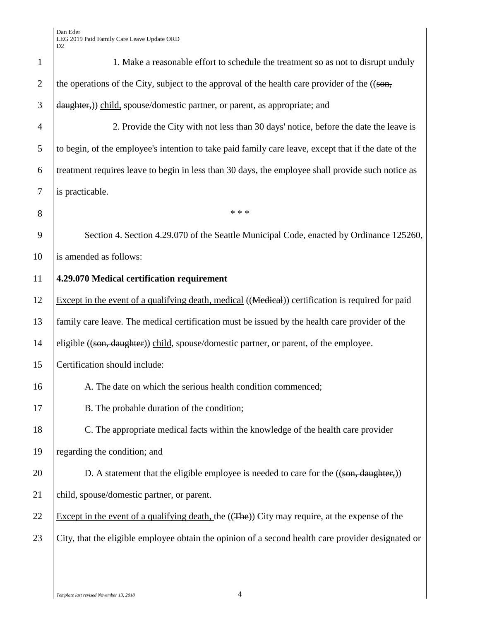| $\mathbf{1}$   | 1. Make a reasonable effort to schedule the treatment so as not to disrupt unduly                      |  |  |  |  |
|----------------|--------------------------------------------------------------------------------------------------------|--|--|--|--|
| $\overline{2}$ | the operations of the City, subject to the approval of the health care provider of the ((son,          |  |  |  |  |
| 3              | daughter,) child, spouse/domestic partner, or parent, as appropriate; and                              |  |  |  |  |
| 4              | 2. Provide the City with not less than 30 days' notice, before the date the leave is                   |  |  |  |  |
| 5              | to begin, of the employee's intention to take paid family care leave, except that if the date of the   |  |  |  |  |
| 6              | treatment requires leave to begin in less than 30 days, the employee shall provide such notice as      |  |  |  |  |
| $\tau$         | is practicable.                                                                                        |  |  |  |  |
| 8              | * * *                                                                                                  |  |  |  |  |
| 9              | Section 4. Section 4.29.070 of the Seattle Municipal Code, enacted by Ordinance 125260,                |  |  |  |  |
| 10             | is amended as follows:                                                                                 |  |  |  |  |
| 11             | 4.29.070 Medical certification requirement                                                             |  |  |  |  |
| 12             | Except in the event of a qualifying death, medical ((Medical)) certification is required for paid      |  |  |  |  |
| 13             | family care leave. The medical certification must be issued by the health care provider of the         |  |  |  |  |
| 14             | eligible ((son, daughter)) child, spouse/domestic partner, or parent, of the employee.                 |  |  |  |  |
| 15             | Certification should include:                                                                          |  |  |  |  |
| 16             | A. The date on which the serious health condition commenced;                                           |  |  |  |  |
| 17             | B. The probable duration of the condition;                                                             |  |  |  |  |
| 18             | C. The appropriate medical facts within the knowledge of the health care provider                      |  |  |  |  |
| 19             | regarding the condition; and                                                                           |  |  |  |  |
| 20             | D. A statement that the eligible employee is needed to care for the $((\text{son}, \text{ daughter}))$ |  |  |  |  |
| 21             | child, spouse/domestic partner, or parent.                                                             |  |  |  |  |
| 22             | Except in the event of a qualifying death, the $((The)$ ) City may require, at the expense of the      |  |  |  |  |
| 23             | City, that the eligible employee obtain the opinion of a second health care provider designated or     |  |  |  |  |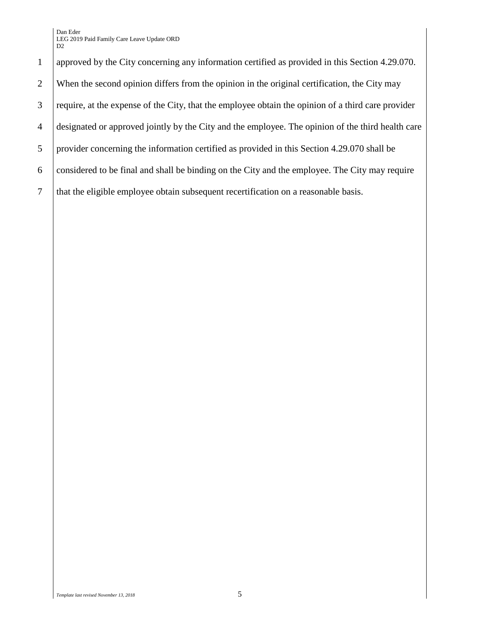Dan Eder LEG 2019 Paid Family Care Leave Update ORD D<sub>2</sub>

 approved by the City concerning any information certified as provided in this Section 4.29.070. 2 When the second opinion differs from the opinion in the original certification, the City may require, at the expense of the City, that the employee obtain the opinion of a third care provider designated or approved jointly by the City and the employee. The opinion of the third health care provider concerning the information certified as provided in this Section 4.29.070 shall be considered to be final and shall be binding on the City and the employee. The City may require that the eligible employee obtain subsequent recertification on a reasonable basis.